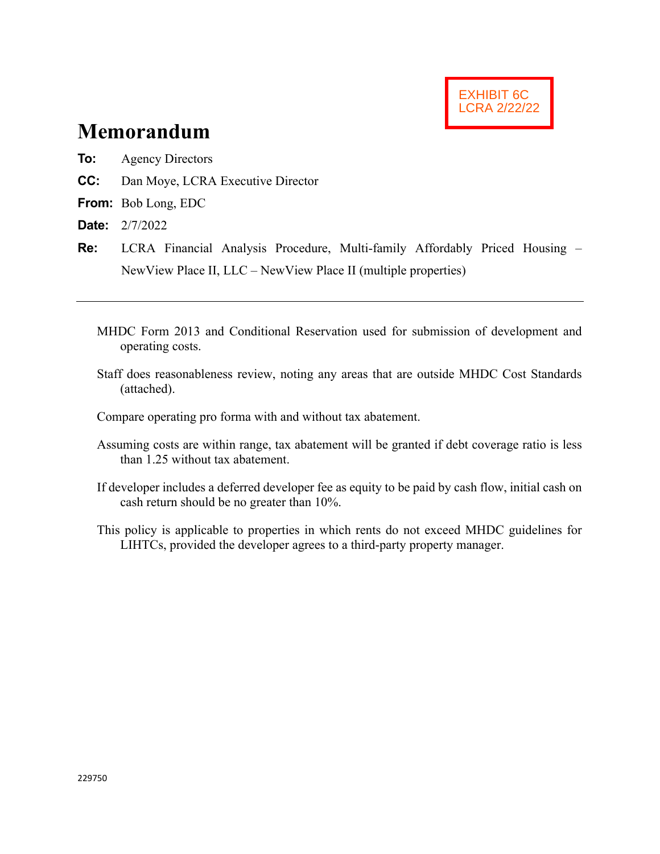

# **Memorandum**

- **To:** Agency Directors
- **CC:** Dan Moye, LCRA Executive Director
- **From:** Bob Long, EDC
- **Date:** 2/7/2022
- **Re:** LCRA Financial Analysis Procedure, Multi-family Affordably Priced Housing NewView Place II, LLC – NewView Place II (multiple properties)
	- MHDC Form 2013 and Conditional Reservation used for submission of development and operating costs.
	- Staff does reasonableness review, noting any areas that are outside MHDC Cost Standards (attached).
	- Compare operating pro forma with and without tax abatement.
	- Assuming costs are within range, tax abatement will be granted if debt coverage ratio is less than 1.25 without tax abatement.
	- If developer includes a deferred developer fee as equity to be paid by cash flow, initial cash on cash return should be no greater than 10%.
	- This policy is applicable to properties in which rents do not exceed MHDC guidelines for LIHTCs, provided the developer agrees to a third-party property manager.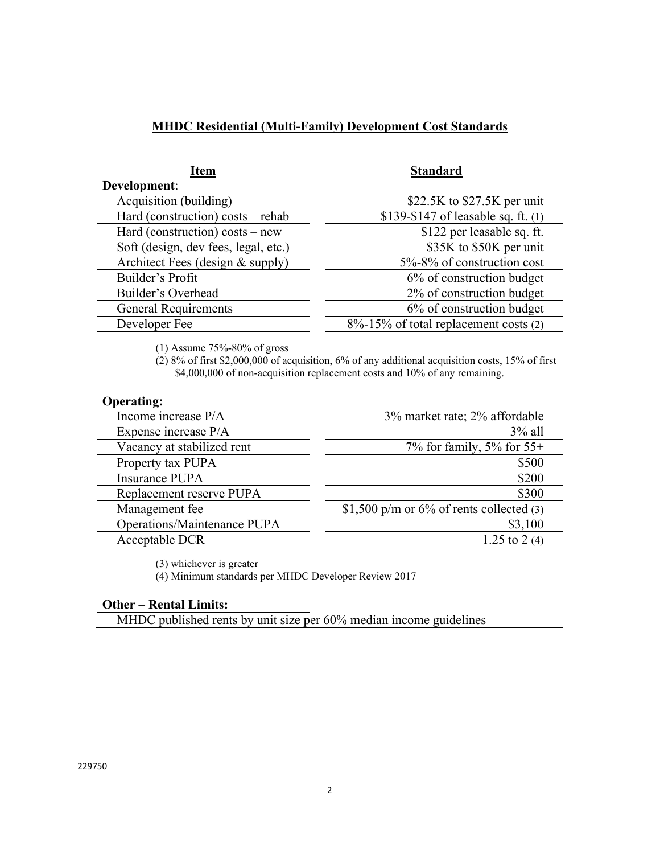### **MHDC Residential (Multi-Family) Development Cost Standards**

| <b>Item</b>                          | <b>Standard</b>                       |
|--------------------------------------|---------------------------------------|
| Development:                         |                                       |
| Acquisition (building)               | \$22.5K to $$27.5K$ per unit          |
| Hard (construction) costs - rehab    | \$139-\$147 of leasable sq. ft. $(1)$ |
| Hard (construction) costs – new      | \$122 per leasable sq. ft.            |
| Soft (design, dev fees, legal, etc.) | \$35K to \$50K per unit               |
| Architect Fees (design & supply)     | 5%-8% of construction cost            |
| Builder's Profit                     | 6% of construction budget             |
| Builder's Overhead                   | 2% of construction budget             |
| <b>General Requirements</b>          | 6% of construction budget             |
| Developer Fee                        | 8%-15% of total replacement costs (2) |

(1) Assume 75%-80% of gross

(2) 8% of first \$2,000,000 of acquisition, 6% of any additional acquisition costs, 15% of first \$4,000,000 of non-acquisition replacement costs and 10% of any remaining.

#### **Operating:**

| Income increase P/A         | 3% market rate; 2% affordable               |
|-----------------------------|---------------------------------------------|
| Expense increase P/A        | $3\%$ all                                   |
| Vacancy at stabilized rent  | 7% for family, 5% for $55+$                 |
| Property tax PUPA           | \$500                                       |
| Insurance PUPA              | \$200                                       |
| Replacement reserve PUPA    | \$300                                       |
| Management fee              | \$1,500 p/m or $6\%$ of rents collected (3) |
| Operations/Maintenance PUPA | \$3,100                                     |
| Acceptable DCR              | 1.25 to 2 (4)                               |
|                             |                                             |

(3) whichever is greater

(4) Minimum standards per MHDC Developer Review 2017

#### **Other – Rental Limits:**

MHDC published rents by unit size per 60% median income guidelines